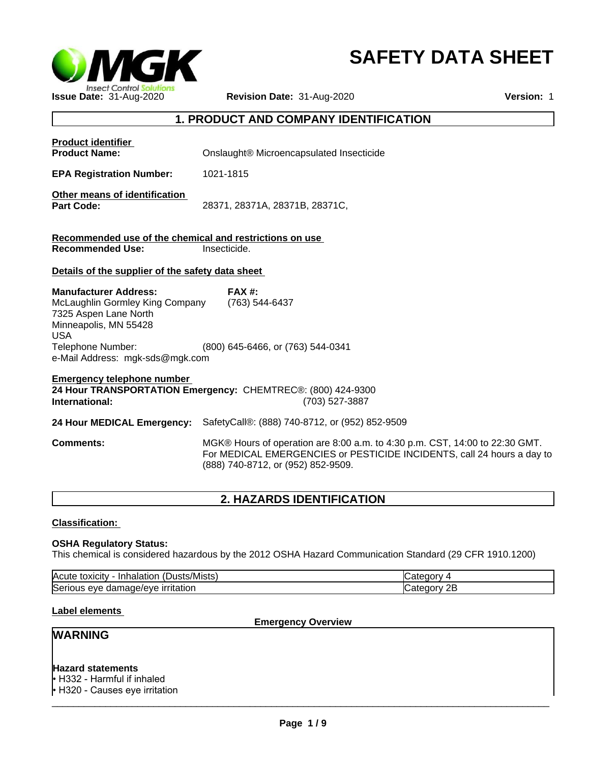

# **SAFETY DATA SHEET**

# **1. PRODUCT AND COMPANY IDENTIFICATION**

| <b>Product identifier</b><br><b>Product Name:</b>                                                                                                    | Onslaught® Microencapsulated Insecticide                                                                                                                                                    |
|------------------------------------------------------------------------------------------------------------------------------------------------------|---------------------------------------------------------------------------------------------------------------------------------------------------------------------------------------------|
| <b>EPA Registration Number:</b>                                                                                                                      | 1021-1815                                                                                                                                                                                   |
| Other means of identification<br><b>Part Code:</b>                                                                                                   | 28371, 28371A, 28371B, 28371C,                                                                                                                                                              |
| Recommended use of the chemical and restrictions on use<br><b>Recommended Use:</b>                                                                   | Insecticide.                                                                                                                                                                                |
| Details of the supplier of the safety data sheet                                                                                                     |                                                                                                                                                                                             |
| <b>Manufacturer Address:</b><br>McLaughlin Gormley King Company<br>7325 Aspen Lane North<br>Minneapolis, MN 55428<br><b>USA</b><br>Telephone Number: | <b>FAX #:</b><br>(763) 544-6437<br>(800) 645-6466, or (763) 544-0341                                                                                                                        |
| e-Mail Address: mgk-sds@mgk.com                                                                                                                      |                                                                                                                                                                                             |
| <b>Emergency telephone number</b><br>International:                                                                                                  | 24 Hour TRANSPORTATION Emergency: CHEMTREC®: (800) 424-9300<br>(703) 527-3887                                                                                                               |
| 24 Hour MEDICAL Emergency:                                                                                                                           | SafetyCall®: (888) 740-8712, or (952) 852-9509                                                                                                                                              |
| <b>Comments:</b>                                                                                                                                     | MGK® Hours of operation are 8:00 a.m. to 4:30 p.m. CST, 14:00 to 22:30 GMT.<br>For MEDICAL EMERGENCIES or PESTICIDE INCIDENTS, call 24 hours a day to<br>(888) 740-8712, or (952) 852-9509. |

# **2. HAZARDS IDENTIFICATION**

# **Classification:**

# **OSHA Regulatory Status:**

This chemical is considered hazardous by the 2012 OSHA Hazard Communication Standard (29 CFR 1910.1200)

| . .<br><b>IAcute</b><br>∵/Mısts<br><b>Inhala</b><br>. τοχιςπν              |           |
|----------------------------------------------------------------------------|-----------|
| Serio<br>.<br>$\cdots$<br>eve<br>H<br>uar<br><b>IPVE</b><br>πατιοι<br>,,,, | --<br>_ _ |

# **Label elements**

**Emergency Overview**

# **WARNING**

# **Hazard statements**

• H332 - Harmful if inhaled • H320 - Causes eye irritation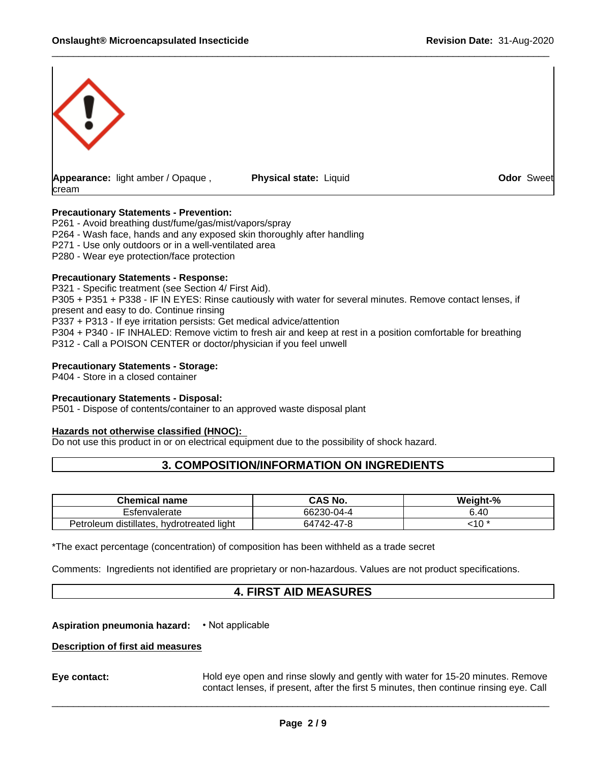

**Physical state:** Liquid **Constanting Constanting Constanting Odor** Sweet

# **Precautionary Statements - Prevention:**

P261 - Avoid breathing dust/fume/gas/mist/vapors/spray P264 - Wash face, hands and any exposed skin thoroughly after handling P271 - Use only outdoors or in a well-ventilated area P280 - Wear eye protection/face protection

# **Precautionary Statements - Response:**

P321 - Specific treatment (see Section 4/ First Aid). P305 + P351 + P338 - IF IN EYES: Rinse cautiously with water for several minutes. Remove contact lenses, if present and easy to do. Continue rinsing P337 + P313 - If eye irritation persists: Get medical advice/attention P304 + P340 - IF INHALED: Remove victim to fresh air and keep at rest in a position comfortable for breathing P312 - Call a POISON CENTER or doctor/physician if you feel unwell

# **Precautionary Statements - Storage:**

P404 - Store in a closed container

#### **Precautionary Statements - Disposal:**

P501 - Dispose of contents/container to an approved waste disposal plant

#### **Hazards not otherwise classified (HNOC):**

Do not use this product in or on electrical equipment due to the possibility of shock hazard.

# **3. COMPOSITION/INFORMATION ON INGREDIENTS**

| $-1$<br>name<br>$$ ner $\sim$<br>mıc                                | <b>CAS No.</b>                                      | Weight-<br>ነ-% |
|---------------------------------------------------------------------|-----------------------------------------------------|----------------|
| envalerate                                                          | 66230-04-4                                          | 41             |
| . .<br>$\cdots$<br>hvdrotreated light<br>distillates<br>leum<br>eur | $\rightarrow$<br>$\sim$<br>$\sim$<br>52<br>/47-47-8 | $-4o$<br>ں ،   |

\*The exact percentage (concentration) of composition has been withheld as a trade secret

Comments: Ingredients not identified are proprietary or non-hazardous. Values are not product specifications.

# **4. FIRST AID MEASURES**

**Aspiration pneumonia hazard:** • Not applicable

# **Description of first aid measures**

**Eye contact:** Hold eye open and rinse slowly and gently with water for15-20 minutes. Remove contact lenses, if present, after the first 5 minutes, then continue rinsing eye. Call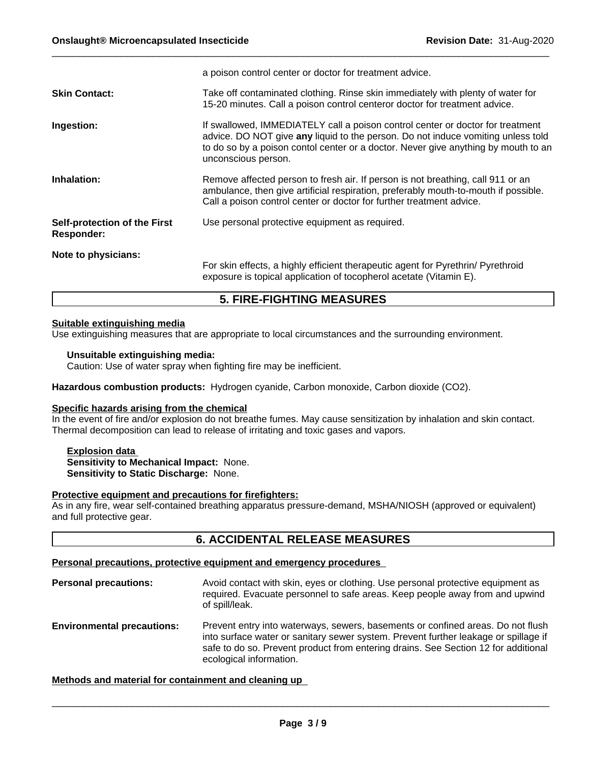|                                                   | a poison control center or doctor for treatment advice.                                                                                                                                                                                                                         |
|---------------------------------------------------|---------------------------------------------------------------------------------------------------------------------------------------------------------------------------------------------------------------------------------------------------------------------------------|
| <b>Skin Contact:</b>                              | Take off contaminated clothing. Rinse skin immediately with plenty of water for<br>15-20 minutes. Call a poison control centeror doctor for treatment advice.                                                                                                                   |
| Ingestion:                                        | If swallowed, IMMEDIATELY call a poison control center or doctor for treatment<br>advice. DO NOT give any liquid to the person. Do not induce vomiting unless told<br>to do so by a poison contol center or a doctor. Never give anything by mouth to an<br>unconscious person. |
| Inhalation:                                       | Remove affected person to fresh air. If person is not breathing, call 911 or an<br>ambulance, then give artificial respiration, preferably mouth-to-mouth if possible.<br>Call a poison control center or doctor for further treatment advice.                                  |
| Self-protection of the First<br><b>Responder:</b> | Use personal protective equipment as required.                                                                                                                                                                                                                                  |
| Note to physicians:                               | For skin effects, a highly efficient therapeutic agent for Pyrethrin/ Pyrethroid<br>exposure is topical application of tocopherol acetate (Vitamin E).                                                                                                                          |

# **5. FIRE-FIGHTING MEASURES**

# **Suitable extinguishing media**

Use extinguishing measures that are appropriate to local circumstances and the surrounding environment.

# **Unsuitable extinguishing media:**

Caution: Use of water spray when fighting fire may be inefficient.

**Hazardous combustion products:** Hydrogen cyanide, Carbon monoxide, Carbon dioxide (CO2).

# **Specific hazards arising from the chemical**

In the event of fire and/or explosion do not breathe fumes. May cause sensitization by inhalation and skin contact. Thermal decomposition can lead to release of irritating and toxic gases and vapors.

# **Explosion data Sensitivity to Mechanical Impact:** None. **Sensitivity to Static Discharge:** None.

# **Protective equipment and precautions for firefighters:**

As in any fire, wear self-contained breathing apparatus pressure-demand, MSHA/NIOSH (approved or equivalent) and full protective gear.

# **6. ACCIDENTAL RELEASE MEASURES**

# **Personal precautions, protective equipment and emergency procedures**

**Personal precautions:** Avoid contact with skin, eyes or clothing. Use personal protective equipment as required. Evacuate personnel to safe areas. Keep people away from and upwind of spill/leak. **Environmental precautions:** Prevent entry into waterways, sewers, basements or confined areas. Do not flush

# into surface water or sanitary sewer system. Prevent further leakage or spillage if safe to do so. Prevent product from entering drains. See Section 12 for additional ecological information.

# **Methods and material for containment and cleaning up**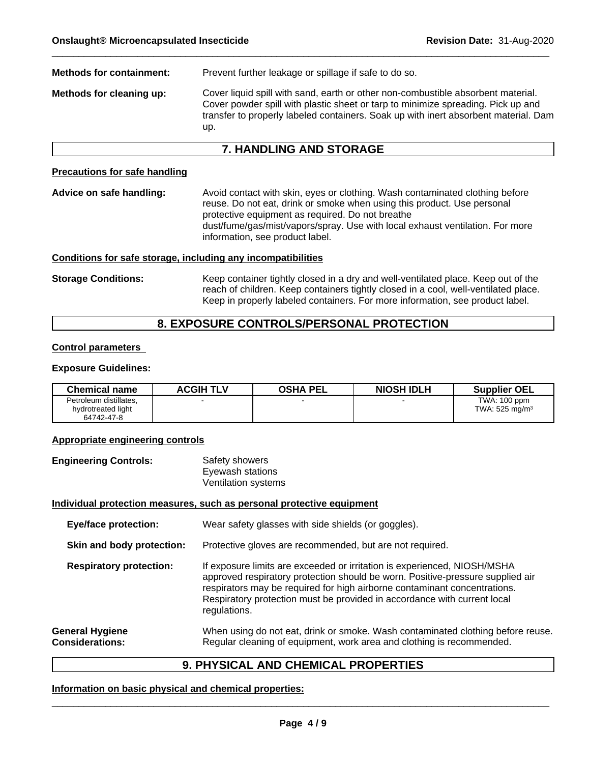**Methods for containment:** Prevent further leakage or spillage if safe to do so. **Methods for cleaning up:** Cover liquid spill with sand, earth or other non-combustible absorbent material. Cover powder spill with plastic sheet or tarp to minimize spreading. Pick up and transfer to properly labeled containers. Soak up with inert absorbent material. Dam up.

# **7. HANDLING AND STORAGE**

# **Precautions for safe handling**

**Advice on safe handling:** Avoid contact with skin, eyes or clothing. Wash contaminated clothing before reuse. Do not eat, drink or smoke when using this product. Use personal protective equipment as required. Do not breathe dust/fume/gas/mist/vapors/spray. Use with local exhaust ventilation. For more information, see product label.

#### **Conditions for safe storage, including any incompatibilities**

**Storage Conditions:** Keep container tightly closed in a dry and well-ventilated place. Keep out of the reach of children. Keep containers tightly closed in a cool, well-ventilated place. Keep in properly labeled containers. For more information, see product label.

# **8. EXPOSURE CONTROLS/PERSONAL PROTECTION**

# **Control parameters**

# **Exposure Guidelines:**

| <b>Chemical name</b>   | ACGIH TLV | <b>OSHA PEL</b> | <b>NIOSH IDLH</b> | <b>Supplier OEL</b>       |
|------------------------|-----------|-----------------|-------------------|---------------------------|
| Petroleum distillates, |           |                 |                   | TWA: 100 ppm              |
| hydrotreated light     |           |                 |                   | TWA: $525 \text{ mg/m}^3$ |
| 64742-47-8             |           |                 |                   |                           |

# **Appropriate engineering controls**

**Engineering Controls:** Safety showers Eyewash stations Ventilation systems

# **Individual protection measures, such as personal protective equipment**

**Eye/face protection:** Wear safety glasses with side shields (or goggles).

**Skin and body protection:** Protective gloves are recommended, but are not required.

**Respiratory protection:** If exposure limits are exceeded or irritation is experienced, NIOSH/MSHA approved respiratory protection should be worn. Positive-pressure supplied air respirators may be required for high airborne contaminant concentrations. Respiratory protection must be provided in accordance with current local regulations.

**General Hygiene Considerations:** When using do not eat, drink or smoke. Wash contaminated clothing before reuse. Regular cleaning of equipment, work area and clothing is recommended.

# **9. PHYSICAL AND CHEMICAL PROPERTIES**

# **Information on basic physical and chemical properties:**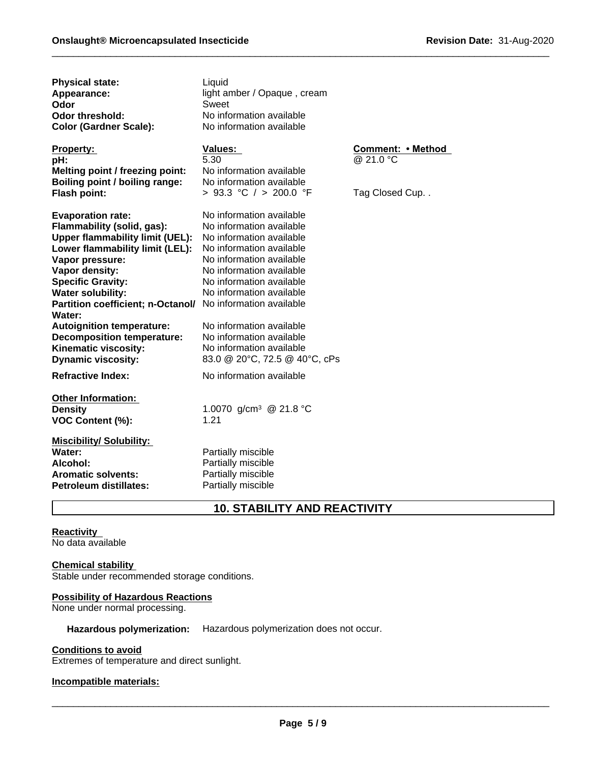| <b>Physical state:</b><br>Appearance:<br>Odor<br><b>Odor threshold:</b><br><b>Color (Gardner Scale):</b>                                                                                                                                                                                                                                                                                                      | Liquid<br>light amber / Opaque, cream<br>Sweet<br>No information available<br>No information available                                                                                                                                                                                                                                                                        |                                                  |
|---------------------------------------------------------------------------------------------------------------------------------------------------------------------------------------------------------------------------------------------------------------------------------------------------------------------------------------------------------------------------------------------------------------|-------------------------------------------------------------------------------------------------------------------------------------------------------------------------------------------------------------------------------------------------------------------------------------------------------------------------------------------------------------------------------|--------------------------------------------------|
| <b>Property:</b><br>pH:<br>Melting point / freezing point:<br>Boiling point / boiling range:<br>Flash point:                                                                                                                                                                                                                                                                                                  | <b>Values:</b><br>5.30<br>No information available<br>No information available<br>> 93.3 °C / > 200.0 °F                                                                                                                                                                                                                                                                      | Comment: • Method<br>@ 21.0 °C<br>Tag Closed Cup |
| <b>Evaporation rate:</b><br>Flammability (solid, gas):<br><b>Upper flammability limit (UEL):</b><br>Lower flammability limit (LEL):<br>Vapor pressure:<br>Vapor density:<br><b>Specific Gravity:</b><br><b>Water solubility:</b><br>Partition coefficient; n-Octanol/<br>Water:<br><b>Autoignition temperature:</b><br><b>Decomposition temperature:</b><br>Kinematic viscosity:<br><b>Dynamic viscosity:</b> | No information available<br>No information available<br>No information available<br>No information available<br>No information available<br>No information available<br>No information available<br>No information available<br>No information available<br>No information available<br>No information available<br>No information available<br>83.0 @ 20°C, 72.5 @ 40°C, cPs |                                                  |
| <b>Refractive Index:</b>                                                                                                                                                                                                                                                                                                                                                                                      | No information available                                                                                                                                                                                                                                                                                                                                                      |                                                  |
| <b>Other Information:</b><br><b>Density</b><br>VOC Content (%):                                                                                                                                                                                                                                                                                                                                               | 1.0070 g/cm <sup>3</sup> @ 21.8 °C<br>1.21                                                                                                                                                                                                                                                                                                                                    |                                                  |
| <b>Miscibility/ Solubility:</b><br>Water:<br>Alcohol:<br><b>Aromatic solvents:</b><br><b>Petroleum distillates:</b>                                                                                                                                                                                                                                                                                           | Partially miscible<br>Partially miscible<br>Partially miscible<br>Partially miscible                                                                                                                                                                                                                                                                                          |                                                  |

# **10. STABILITY AND REACTIVITY**

**Reactivity**  No data available

# **Chemical stability**

Stable under recommended storage conditions.

# **Possibility of Hazardous Reactions**

None under normal processing.

**Hazardous polymerization:** Hazardous polymerization does not occur.

# **Conditions to avoid**

Extremes of temperature and direct sunlight.

# **Incompatible materials:**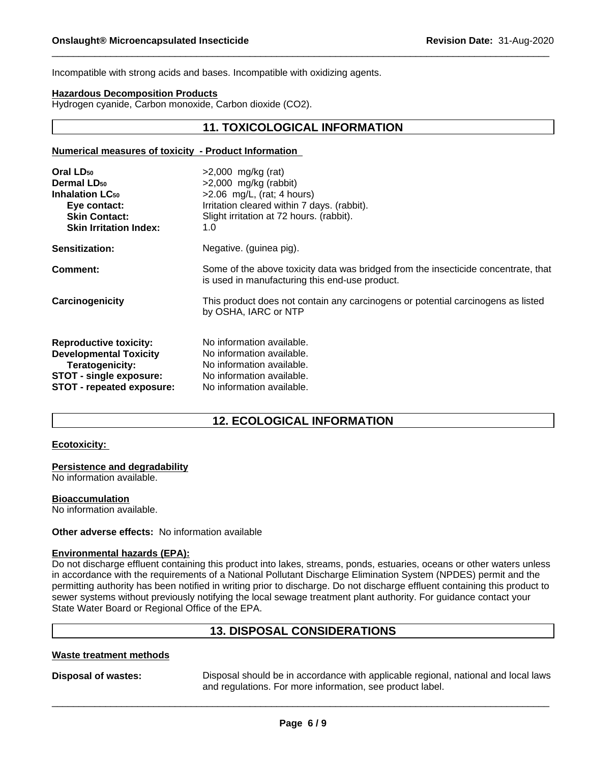Incompatible with strong acids and bases. Incompatible with oxidizing agents.

#### **Hazardous Decomposition Products**

Hydrogen cyanide, Carbon monoxide, Carbon dioxide (CO2).

# **11. TOXICOLOGICAL INFORMATION**

#### **Numerical measures of toxicity - Product Information**

| Oral LD <sub>50</sub>             | $>2,000$ mg/kg (rat)                                                                                                                 |
|-----------------------------------|--------------------------------------------------------------------------------------------------------------------------------------|
| <b>Dermal LD<sub>50</sub></b>     | $>2,000$ mg/kg (rabbit)                                                                                                              |
| <b>Inhalation LC<sub>50</sub></b> | $>2.06$ mg/L, (rat; 4 hours)                                                                                                         |
| Eye contact:                      | Irritation cleared within 7 days. (rabbit).                                                                                          |
| <b>Skin Contact:</b>              | Slight irritation at 72 hours. (rabbit).                                                                                             |
| <b>Skin Irritation Index:</b>     | 1.0                                                                                                                                  |
| Sensitization:                    | Negative. (guinea pig).                                                                                                              |
| Comment:                          | Some of the above toxicity data was bridged from the insecticide concentrate, that<br>is used in manufacturing this end-use product. |
| Carcinogenicity                   | This product does not contain any carcinogens or potential carcinogens as listed<br>by OSHA, IARC or NTP                             |
| <b>Reproductive toxicity:</b>     | No information available.                                                                                                            |
| <b>Developmental Toxicity</b>     | No information available.                                                                                                            |
| Teratogenicity:                   | No information available.                                                                                                            |
| STOT - single exposure:           | No information available.                                                                                                            |
| STOT - repeated exposure:         | No information available.                                                                                                            |
|                                   |                                                                                                                                      |

# **12. ECOLOGICAL INFORMATION**

#### **Ecotoxicity:**

**Persistence and degradability**

No information available.

**Bioaccumulation**

No information available.

# **Other adverse effects:** No information available

# **Environmental hazards (EPA):**

Do not discharge effluent containing this product into lakes, streams, ponds, estuaries, oceans or other waters unless in accordance with the requirements of a National Pollutant Discharge Elimination System (NPDES) permit and the permitting authority has been notified in writing prior to discharge. Do not discharge effluent containing this product to sewer systems without previously notifying the local sewage treatment plant authority. For guidance contact your State Water Board or Regional Office of the EPA.

# **13. DISPOSAL CONSIDERATIONS**

# **Waste treatment methods**

**Disposal of wastes:** Disposal should be in accordance with applicable regional, national and local laws and regulations. For more information, see product label.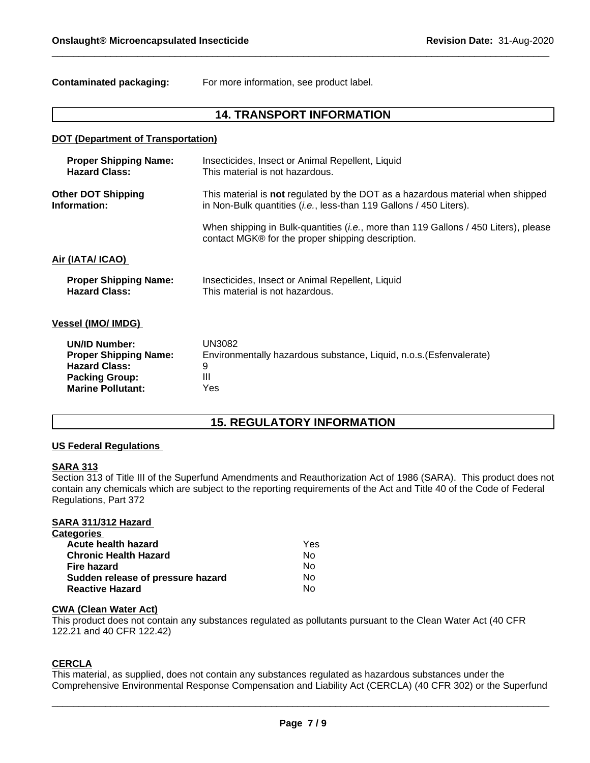**Contaminated packaging:** For more information, see product label.

# **14. TRANSPORT INFORMATION**

# **DOT (Department of Transportation)**

| <b>Proper Shipping Name:</b> | Insecticides, Insect or Animal Repellent, Liquid                                                                                                  |
|------------------------------|---------------------------------------------------------------------------------------------------------------------------------------------------|
| <b>Hazard Class:</b>         | This material is not hazardous.                                                                                                                   |
| <b>Other DOT Shipping</b>    | This material is <b>not</b> regulated by the DOT as a hazardous material when shipped                                                             |
| Information:                 | in Non-Bulk quantities (i.e., less-than 119 Gallons / 450 Liters).                                                                                |
|                              | When shipping in Bulk-quantities ( <i>i.e.</i> , more than 119 Gallons / 450 Liters), please<br>contact MGK® for the proper shipping description. |
| Air (IATA/ ICAO)             |                                                                                                                                                   |
| <b>Proper Shipping Name:</b> | Insecticides, Insect or Animal Repellent, Liquid                                                                                                  |
| <b>Hazard Class:</b>         | This material is not hazardous.                                                                                                                   |
| <b>Vessel (IMO/ IMDG)</b>    |                                                                                                                                                   |
| <b>UN/ID Number:</b>         | UN3082                                                                                                                                            |
| <b>Proper Shipping Name:</b> | Environmentally hazardous substance, Liquid, n.o.s. (Esfenvalerate)                                                                               |
| <b>Hazard Class:</b>         | 9                                                                                                                                                 |
| <b>Packing Group:</b>        | Ш                                                                                                                                                 |
| <b>Marine Pollutant:</b>     | Yes                                                                                                                                               |

# **15. REGULATORY INFORMATION**

# **US Federal Regulations**

#### **SARA 313**

Section 313 of Title III of the Superfund Amendments and Reauthorization Act of 1986 (SARA). This product does not contain any chemicals which are subject to the reporting requirements of the Act and Title 40 of the Code of Federal Regulations, Part 372

#### **SARA 311/312 Hazard**

| Yes |
|-----|
| Nο  |
| No  |
| No  |
| No  |
|     |

# **CWA (Clean Water Act)**

This product does not contain any substances regulated as pollutants pursuant to the Clean Water Act (40 CFR 122.21 and 40 CFR 122.42)

# **CERCLA**

This material, as supplied, does not contain any substances regulated as hazardous substances under the Comprehensive Environmental Response Compensation and Liability Act (CERCLA) (40 CFR 302) or the Superfund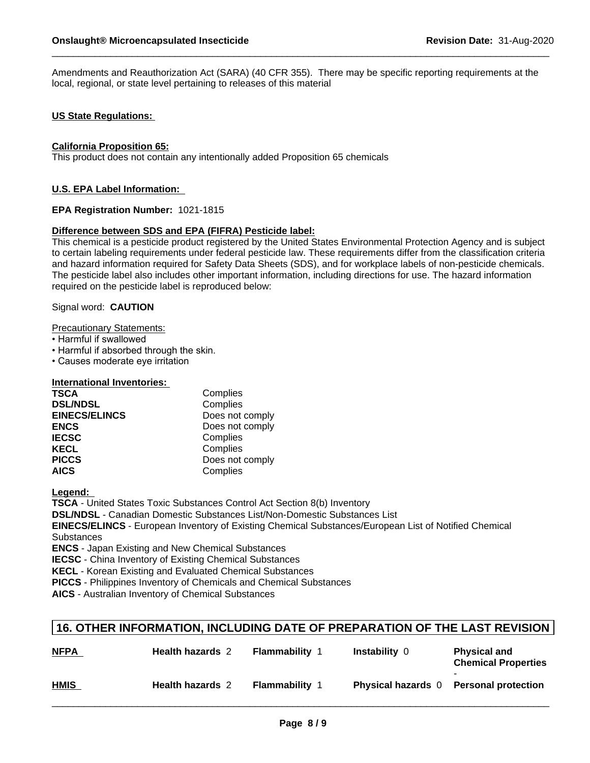Amendments and Reauthorization Act (SARA) (40 CFR 355). There may be specific reporting requirements at the local, regional, or state level pertaining to releases of this material

# **US State Regulations:**

#### **California Proposition 65:**

This product does not contain any intentionally added Proposition 65 chemicals

# **U.S. EPA Label Information:**

# **EPA Registration Number:** 1021-1815

# **Difference between SDS and EPA (FIFRA) Pesticide label:**

This chemical is a pesticide product registered by the United States Environmental Protection Agency and is subject to certain labeling requirements under federal pesticide law. These requirements differ from the classification criteria and hazard information required for Safety Data Sheets (SDS), and for workplace labels of non-pesticide chemicals. The pesticide label also includes other important information, including directions for use. The hazard information required on the pesticide label is reproduced below:

# Signal word: **CAUTION**

Precautionary Statements:

- Harmful if swallowed
- Harmful if absorbed through the skin.
- Causes moderate eve irritation

# **International Inventories:**

| <b>TSCA</b>          | Complies        |
|----------------------|-----------------|
| <b>DSL/NDSL</b>      | Complies        |
| <b>EINECS/ELINCS</b> | Does not comply |
| <b>ENCS</b>          | Does not comply |
| <b>IECSC</b>         | Complies        |
| <b>KECL</b>          | Complies        |
| <b>PICCS</b>         | Does not comply |
| <b>AICS</b>          | Complies        |

**Legend:** 

**TSCA** - United States Toxic Substances Control Act Section 8(b) Inventory

**DSL/NDSL** - Canadian Domestic Substances List/Non-Domestic Substances List

**EINECS/ELINCS** - European Inventory of Existing Chemical Substances/European List of Notified Chemical **Substances** 

**ENCS** - Japan Existing and New Chemical Substances

**IECSC** - China Inventory of Existing Chemical Substances

**KECL** - Korean Existing and Evaluated Chemical Substances

**PICCS** - Philippines Inventory of Chemicals and Chemical Substances

**AICS** - Australian Inventory of Chemical Substances

# **16. OTHER INFORMATION, INCLUDING DATE OF PREPARATION OF THE LAST REVISION**

| <b>NFPA</b> | <b>Health hazards 2</b> | <b>Flammability</b> 1 | Instability $0$           | <b>Physical and</b><br><b>Chemical Properties</b> |
|-------------|-------------------------|-----------------------|---------------------------|---------------------------------------------------|
| <b>HMIS</b> | <b>Health hazards 2</b> | <b>Flammability</b> 1 | <b>Physical hazards</b> 0 | <b>Personal protection</b>                        |